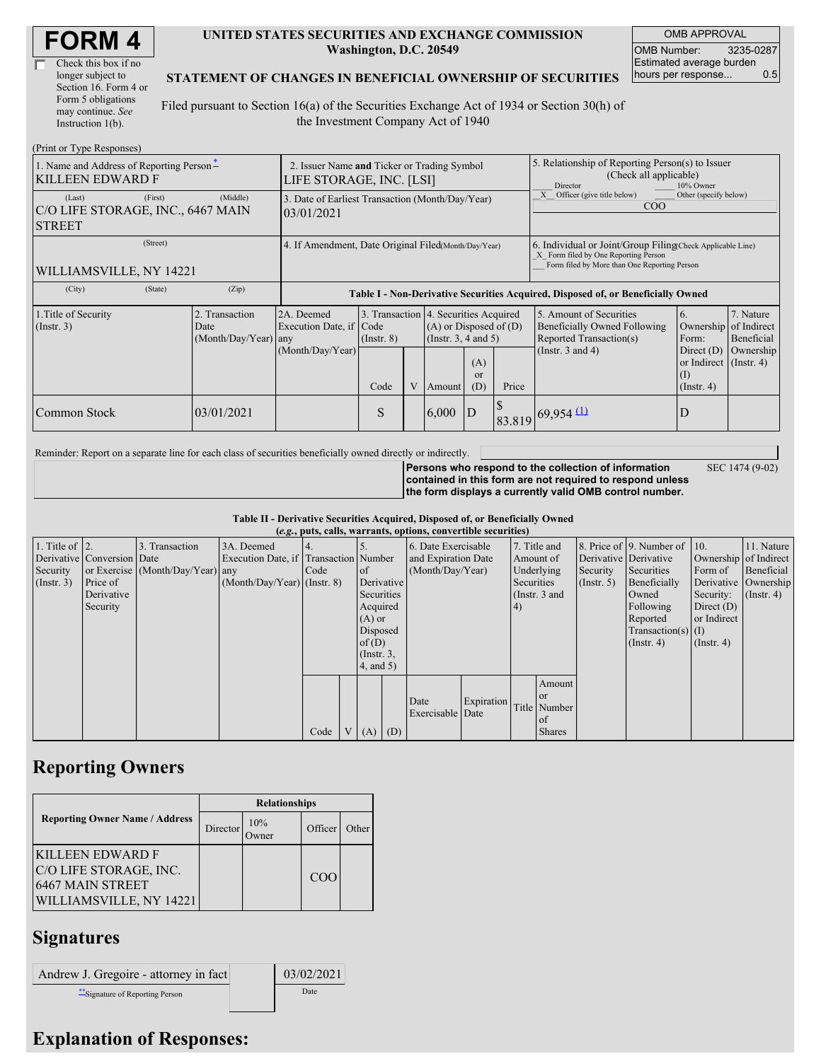| <b>FORM4</b> |
|--------------|
|--------------|

| Check this box if no  |
|-----------------------|
| longer subject to     |
| Section 16. Form 4 or |
| Form 5 obligations    |
| may continue. See     |
| Instruction 1(b).     |

#### **UNITED STATES SECURITIES AND EXCHANGE COMMISSION Washington, D.C. 20549**

OMB APPROVAL OMB Number: 3235-0287 Estimated average burden hours per response... 0.5

SEC 1474 (9-02)

#### **STATEMENT OF CHANGES IN BENEFICIAL OWNERSHIP OF SECURITIES**

Filed pursuant to Section 16(a) of the Securities Exchange Act of 1934 or Section 30(h) of the Investment Company Act of 1940

| (Print or Type Responses)                                               |                                                                         |                                                                                  |                         |   |       |                                                                                                                                        |                                                                                                                                                    |                                                                                                             |                                                                                                  |                                                     |
|-------------------------------------------------------------------------|-------------------------------------------------------------------------|----------------------------------------------------------------------------------|-------------------------|---|-------|----------------------------------------------------------------------------------------------------------------------------------------|----------------------------------------------------------------------------------------------------------------------------------------------------|-------------------------------------------------------------------------------------------------------------|--------------------------------------------------------------------------------------------------|-----------------------------------------------------|
| 1. Name and Address of Reporting Person-<br><b>KILLEEN EDWARD F</b>     | 2. Issuer Name and Ticker or Trading Symbol<br>LIFE STORAGE, INC. [LSI] |                                                                                  |                         |   |       |                                                                                                                                        | 5. Relationship of Reporting Person(s) to Issuer<br>(Check all applicable)<br>Director<br>10% Owner                                                |                                                                                                             |                                                                                                  |                                                     |
| (First)<br>(Last)<br>C/O LIFE STORAGE, INC., 6467 MAIN<br><b>STREET</b> | (Middle)                                                                | 3. Date of Earliest Transaction (Month/Day/Year)<br>03/01/2021                   |                         |   |       |                                                                                                                                        | Officer (give title below)<br>Other (specify below)<br>COO                                                                                         |                                                                                                             |                                                                                                  |                                                     |
| (Street)<br>WILLIAMSVILLE, NY 14221                                     | 4. If Amendment, Date Original Filed(Month/Day/Year)                    |                                                                                  |                         |   |       |                                                                                                                                        | 6. Individual or Joint/Group Filing Check Applicable Line)<br>X Form filed by One Reporting Person<br>Form filed by More than One Reporting Person |                                                                                                             |                                                                                                  |                                                     |
| (City)<br>(State)                                                       | (Zip)                                                                   | Table I - Non-Derivative Securities Acquired, Disposed of, or Beneficially Owned |                         |   |       |                                                                                                                                        |                                                                                                                                                    |                                                                                                             |                                                                                                  |                                                     |
| 1. Title of Security<br>(Insert. 3)                                     | 2. Transaction<br>Date<br>(Month/Day/Year)                              | 2A. Deemed<br>Execution Date, if Code<br>any<br>(Month/Day/Year)                 | $($ Instr. $8)$<br>Code | V |       | 3. Transaction 4. Securities Acquired<br>$(A)$ or Disposed of $(D)$<br>(Instr. $3, 4$ and $5$ )<br>(A)<br>or<br>(D)<br>Price<br>Amount |                                                                                                                                                    | 5. Amount of Securities<br>Beneficially Owned Following<br>Reported Transaction(s)<br>(Instr. $3$ and $4$ ) | 6.<br>Ownership<br>Form:<br>Direct $(D)$<br>or Indirect $($ Instr. 4)<br>(I)<br>$($ Instr. 4 $)$ | 7. Nature<br>of Indirect<br>Beneficial<br>Ownership |
| Common Stock                                                            | 03/01/2021                                                              |                                                                                  | S                       |   | 6,000 | D                                                                                                                                      |                                                                                                                                                    | $83.819$ 69,954 (1)                                                                                         | D                                                                                                |                                                     |

Reminder: Report on a separate line for each class of securities beneficially owned directly or indirectly.

**Persons who respond to the collection of information contained in this form are not required to respond unless the form displays a currently valid OMB control number.**

**Table II - Derivative Securities Acquired, Disposed of, or Beneficially Owned**

| (e.g., puts, calls, warrants, options, convertible securities) |                            |                                  |                                       |      |                |                 |  |                                        |               |                  |               |            |                              |                  |                       |              |                      |
|----------------------------------------------------------------|----------------------------|----------------------------------|---------------------------------------|------|----------------|-----------------|--|----------------------------------------|---------------|------------------|---------------|------------|------------------------------|------------------|-----------------------|--------------|----------------------|
| 1. Title of $\vert$ 2.                                         |                            | 3. Transaction                   | 3A. Deemed                            |      |                |                 |  | 6. Date Exercisable                    |               |                  | 7. Title and  |            | 8. Price of 9. Number of 10. |                  | 11. Nature            |              |                      |
|                                                                | Derivative Conversion Date |                                  | Execution Date, if Transaction Number |      |                |                 |  | and Expiration Date                    |               | Amount of        |               |            | Derivative Derivative        |                  | Ownership of Indirect |              |                      |
| Security                                                       |                            | or Exercise (Month/Day/Year) any |                                       | Code |                | of              |  |                                        |               | (Month/Day/Year) |               |            | Underlying                   | Security         | Securities            | Form of      | Beneficial           |
| $($ Instr. 3 $)$                                               | Price of                   |                                  | $(Month/Day/Year)$ (Instr. 8)         |      |                | Derivative      |  |                                        |               |                  |               | Securities |                              | $($ Instr. 5 $)$ | Beneficially          |              | Derivative Ownership |
|                                                                | Derivative                 |                                  |                                       |      |                | Securities      |  |                                        | (Instr. 3 and |                  |               | Owned      | Security:                    | $($ Instr. 4)    |                       |              |                      |
|                                                                | Security                   |                                  |                                       |      |                | Acquired        |  |                                        |               |                  |               | 4)         |                              |                  | Following             | Direct $(D)$ |                      |
|                                                                |                            |                                  |                                       |      |                | $(A)$ or        |  |                                        |               |                  |               |            | Reported                     | or Indirect      |                       |              |                      |
|                                                                |                            |                                  |                                       |      |                | Disposed        |  |                                        |               |                  |               |            | $Transaction(s)$ (I)         |                  |                       |              |                      |
|                                                                |                            |                                  |                                       |      |                | of(D)           |  |                                        |               |                  |               |            | $($ Instr. 4 $)$             | $($ Instr. 4 $)$ |                       |              |                      |
|                                                                |                            |                                  |                                       |      |                | $($ Instr. $3,$ |  |                                        |               |                  |               |            |                              |                  |                       |              |                      |
|                                                                |                            |                                  |                                       |      |                | $4$ , and $5$ ) |  |                                        |               |                  |               |            |                              |                  |                       |              |                      |
|                                                                |                            |                                  |                                       |      |                |                 |  |                                        |               |                  | Amount        |            |                              |                  |                       |              |                      |
|                                                                |                            |                                  |                                       |      |                |                 |  |                                        |               |                  | <sub>or</sub> |            |                              |                  |                       |              |                      |
|                                                                |                            |                                  |                                       |      |                |                 |  | Expiration<br>Date<br>Exercisable Date |               |                  | Title Number  |            |                              |                  |                       |              |                      |
|                                                                |                            |                                  |                                       |      |                |                 |  |                                        |               |                  | of of         |            |                              |                  |                       |              |                      |
|                                                                |                            |                                  |                                       | Code | V <sub>1</sub> | $(A)$ $(D)$     |  |                                        |               |                  | <b>Shares</b> |            |                              |                  |                       |              |                      |

## **Reporting Owners**

|                                                                                           | <b>Relationships</b> |              |                 |       |  |  |  |  |
|-------------------------------------------------------------------------------------------|----------------------|--------------|-----------------|-------|--|--|--|--|
| <b>Reporting Owner Name / Address</b>                                                     | Director             | 10%<br>Owner | Officer         | Other |  |  |  |  |
| KILLEEN EDWARD F<br>C/O LIFE STORAGE, INC.<br>6467 MAIN STREET<br>WILLIAMSVILLE, NY 14221 |                      |              | CO <sub>O</sub> |       |  |  |  |  |

# **Signatures**

| Andrew J. Gregoire - attorney in fact | 03/02/2021 |
|---------------------------------------|------------|
| Signature of Reporting Person         | Date       |

## **Explanation of Responses:**